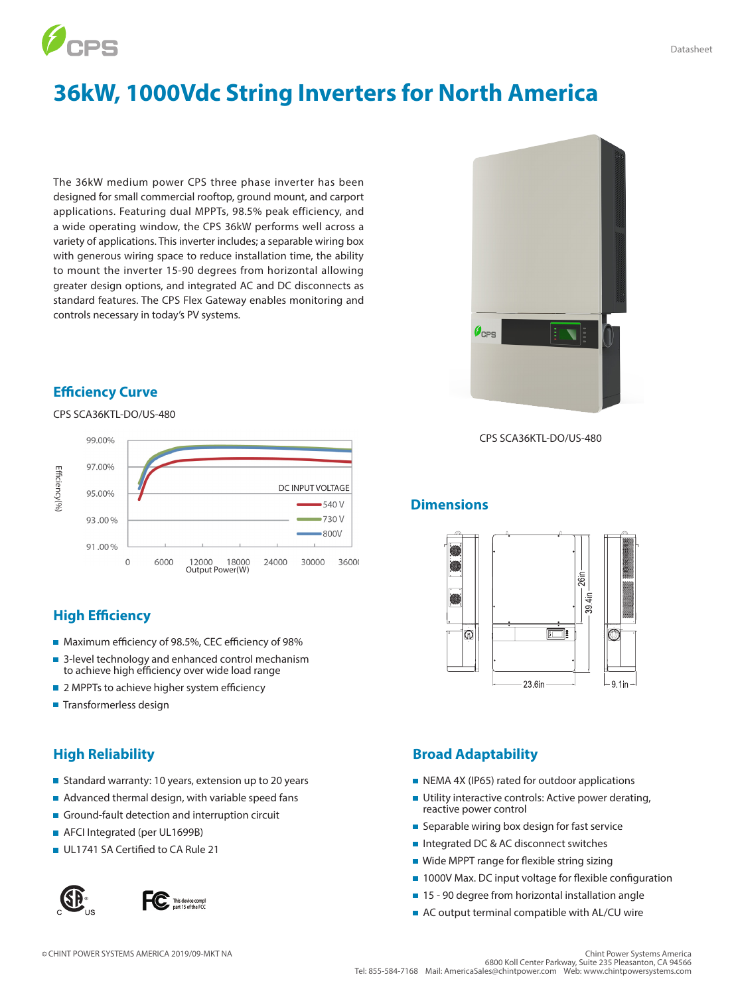

# **36kW, 1000Vdc String Inverters for North America**

The 36kW medium power CPS three phase inverter has been designed for small commercial rooftop, ground mount, and carport applications. Featuring dual MPPTs, 98.5% peak efficiency, and a wide operating window, the CPS 36kW performs well across a variety of applications. This inverter includes; a separable wiring box with generous wiring space to reduce installation time, the ability to mount the inverter 15-90 degrees from horizontal allowing greater design options, and integrated AC and DC disconnects as standard features. The CPS Flex Gateway enables monitoring and controls necessary in today's PV systems.

# **Efficiency Curve**

#### CPS SCA36KTL-DO/US-480



# **High Efficiency**

- Maximum efficiency of 98.5%, CEC efficiency of 98%
- 3-level technology and enhanced control mechanism to achieve high efficiency over wide load range
- 2 MPPTs to achieve higher system efficiency
- Transformerless design

- Standard warranty: 10 years, extension up to 20 years
- Advanced thermal design, with variable speed fans
- Ground-fault detection and interruption circuit
- **AFCI Integrated (per UL1699B)**
- UL1741 SA Certified to CA Rule 21



CPS SCA36KTL-DO/US-480

### **Dimensions**



#### **High Reliability Broad Adaptability**

- NEMA 4X (IP65) rated for outdoor applications
- **Utility interactive controls: Active power derating,** reactive power control
- Separable wiring box design for fast service
- Integrated DC & AC disconnect switches
- Wide MPPT range for flexible string sizing
- 1000V Max. DC input voltage for flexible configuration
- 15 90 degree from horizontal installation angle
- AC output terminal compatible with AL/CU wire